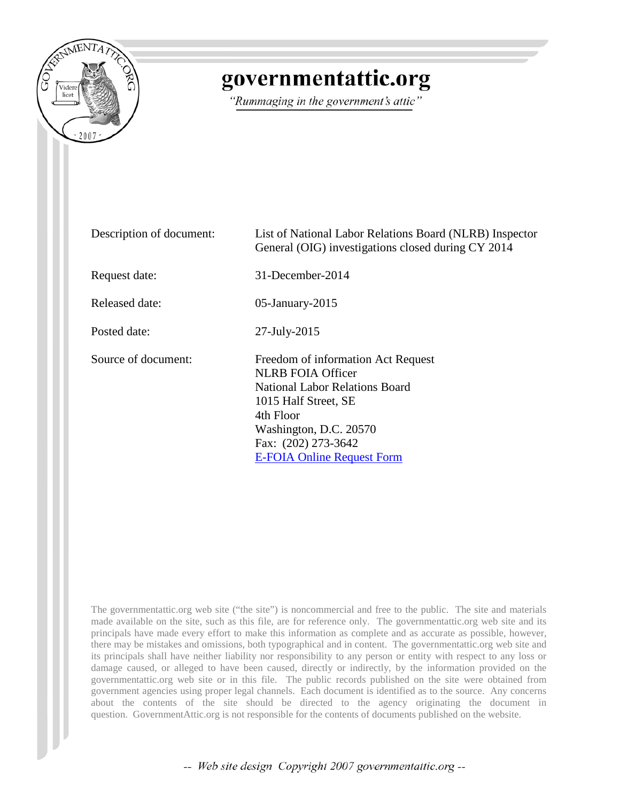

## governmentattic.org

"Rummaging in the government's attic"

| Description of document: | List of National Labor Relations Board (NLRB) Inspector<br>General (OIG) investigations closed during CY 2014                                                                                                               |  |
|--------------------------|-----------------------------------------------------------------------------------------------------------------------------------------------------------------------------------------------------------------------------|--|
| Request date:            | $31$ -December-2014                                                                                                                                                                                                         |  |
| Released date:           | $05$ -January-2015                                                                                                                                                                                                          |  |
| Posted date:             | $27$ -July- $2015$                                                                                                                                                                                                          |  |
| Source of document:      | Freedom of information Act Request<br><b>NLRB FOIA Officer</b><br>National Labor Relations Board<br>1015 Half Street, SE<br>4th Floor<br>Washington, D.C. 20570<br>Fax: (202) 273-3642<br><b>E-FOIA Online Request Form</b> |  |

The governmentattic.org web site ("the site") is noncommercial and free to the public. The site and materials made available on the site, such as this file, are for reference only. The governmentattic.org web site and its principals have made every effort to make this information as complete and as accurate as possible, however, there may be mistakes and omissions, both typographical and in content. The governmentattic.org web site and its principals shall have neither liability nor responsibility to any person or entity with respect to any loss or damage caused, or alleged to have been caused, directly or indirectly, by the information provided on the governmentattic.org web site or in this file. The public records published on the site were obtained from government agencies using proper legal channels. Each document is identified as to the source. Any concerns about the contents of the site should be directed to the agency originating the document in question. GovernmentAttic.org is not responsible for the contents of documents published on the website.

-- Web site design Copyright 2007 governmentattic.org --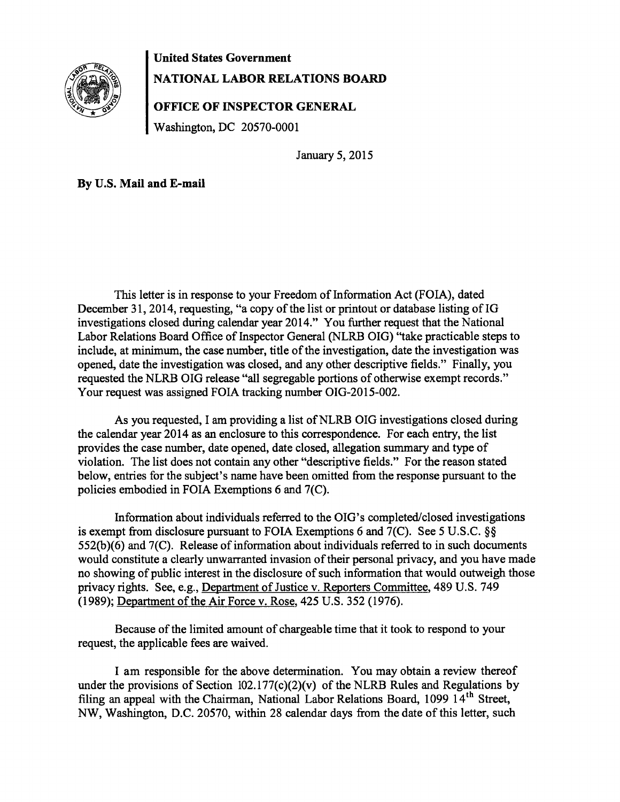

## **United States Government NATIONAL LABOR RELATIONS BOARD**

**OFFICE OF INSPECTOR GENERAL** 

Washington, DC 20570-0001

January 5, 2015

**By** U.S. **Mail and E-mail** 

This letter is in response to your Freedom of Information Act (FOIA), dated December 31, 2014, requesting, "a copy of the list or printout or database listing of IG investigations closed during calendar year 2014." You further request that the National Labor Relations Board Office of Inspector General (NLRB OIG) "take practicable steps to include, at minimum, the case number, title of the investigation, date the investigation was opened, date the investigation was closed, and any other descriptive fields." Finally, you requested the NLRB OIG release "all segregable portions of otherwise exempt records." Your request was assigned FOIA tracking number OIG-2015-002.

As you requested, I am providing a list of NLRB OIG investigations closed during the calendar year 2014 as an enclosure to this correspondence. For each entry, the list provides the case number, date opened, date closed, allegation summary and type of violation. The list does not contain any other "descriptive fields." For the reason stated below, entries for the subject's name have been omitted from the response pursuant to the policies embodied in FOIA Exemptions 6 and 7(C).

Information about individuals referred to the OIG's completed/closed investigations is exempt from disclosure pursuant to FOIA Exemptions 6 and 7(C). See 5 U.S.C. §§ 552(b)(6) and 7(C). Release of information about individuals referred to in such documents would constitute a clearly unwarranted invasion of their personal privacy, and you have made no showing of public interest in the disclosure of such information that would outweigh those privacy rights. See, e.g., Department of Justice v. Reporters Committee, 489 U.S. 749 (1989); Department of the Air Force v. Rose, 425 U.S. 352 (1976).

Because of the limited amount of chargeable time that it took to respond to your request, the applicable fees are waived.

I am responsible for the above determination. You may obtain a review thereof under the provisions of Section  $102.177(c)(2)(v)$  of the NLRB Rules and Regulations by filing an appeal with the Chairman, National Labor Relations Board, 1099 14<sup>th</sup> Street, NW, Washington, D.C. 20570, within 28 calendar days from the date of this letter, such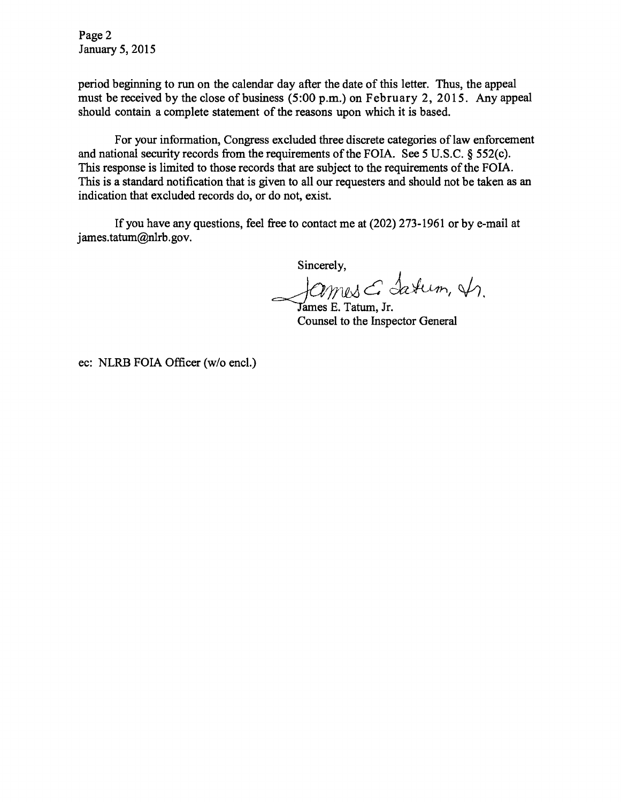Page 2 January 5, 2015

period beginning to run on the calendar day after the date of this letter. Thus, the appeal must be received by the close of business (5:00 p.m.) on February 2, 2015. Any appeal should contain a complete statement of the reasons upon which it is based.

For your information, Congress excluded three discrete categories of law enforcement and national security records from the requirements of the FOIA. See 5 U.S.C. § 552(c). This response is limited to those records that are subject to the requirements of the FOIA. This is a standard notification that is given to all our requesters and should not be taken as an indication that excluded records do, or do not, exist.

If you have any questions, feel free to contact me at (202) 273-1961 or by e-mail at james.tatum@nlrb.gov.

Sincerely,

James E. Tatum, Jr.

Counsel to the Inspector General

ec: NLRB FOIA Officer (w/o encl.)